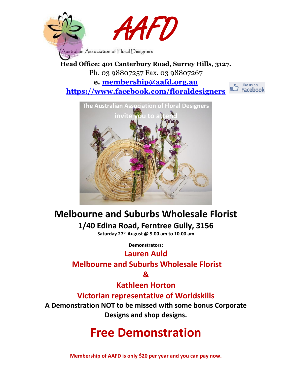

**Head Office: 401 Canterbury Road, Surrey Hills, 3127.** Ph. 03 98807257 Fax. 03 98807267 **e. [membership@aafd.org.au](mailto:membership@aafd.org.au) <https://www.facebook.com/floraldesigners>**





## **Melbourne and Suburbs Wholesale Florist 1/40 Edina Road, Ferntree Gully, 3156**

**Saturday 27th August @ 9.00 am to 10.00 am**

**Demonstrators:** 

## **Lauren Auld**

## **Melbourne and Suburbs Wholesale Florist**

**&** 

## **Kathleen Horton**

## **Victorian representative of Worldskills**

**A Demonstration NOT to be missed with some bonus Corporate Designs and shop designs.** 

## **Free Demonstration**

**Membership of AAFD is only \$20 per year and you can pay now.**